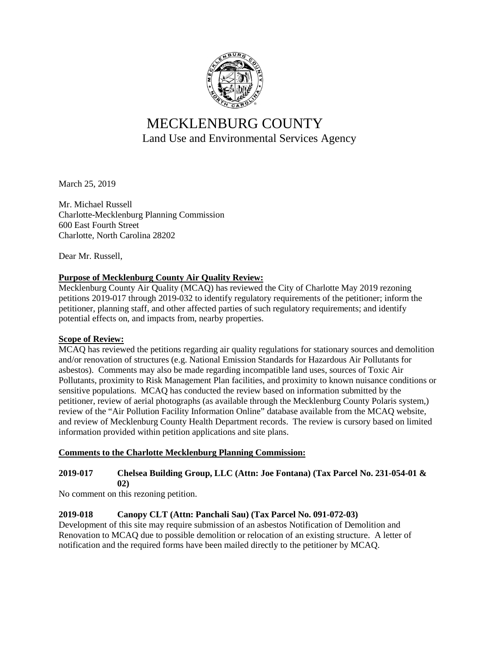

# MECKLENBURG COUNTY Land Use and Environmental Services Agency

March 25, 2019

Mr. Michael Russell Charlotte-Mecklenburg Planning Commission 600 East Fourth Street Charlotte, North Carolina 28202

Dear Mr. Russell,

#### **Purpose of Mecklenburg County Air Quality Review:**

Mecklenburg County Air Quality (MCAQ) has reviewed the City of Charlotte May 2019 rezoning petitions 2019-017 through 2019-032 to identify regulatory requirements of the petitioner; inform the petitioner, planning staff, and other affected parties of such regulatory requirements; and identify potential effects on, and impacts from, nearby properties.

#### **Scope of Review:**

MCAQ has reviewed the petitions regarding air quality regulations for stationary sources and demolition and/or renovation of structures (e.g. National Emission Standards for Hazardous Air Pollutants for asbestos). Comments may also be made regarding incompatible land uses, sources of Toxic Air Pollutants, proximity to Risk Management Plan facilities, and proximity to known nuisance conditions or sensitive populations. MCAQ has conducted the review based on information submitted by the petitioner, review of aerial photographs (as available through the Mecklenburg County Polaris system,) review of the "Air Pollution Facility Information Online" database available from the MCAQ website, and review of Mecklenburg County Health Department records. The review is cursory based on limited information provided within petition applications and site plans.

#### **Comments to the Charlotte Mecklenburg Planning Commission:**

#### **2019-017 Chelsea Building Group, LLC (Attn: Joe Fontana) (Tax Parcel No. 231-054-01 & 02)**

No comment on this rezoning petition.

#### **2019-018 Canopy CLT (Attn: Panchali Sau) (Tax Parcel No. 091-072-03)**

Development of this site may require submission of an asbestos Notification of Demolition and Renovation to MCAQ due to possible demolition or relocation of an existing structure. A letter of notification and the required forms have been mailed directly to the petitioner by MCAQ.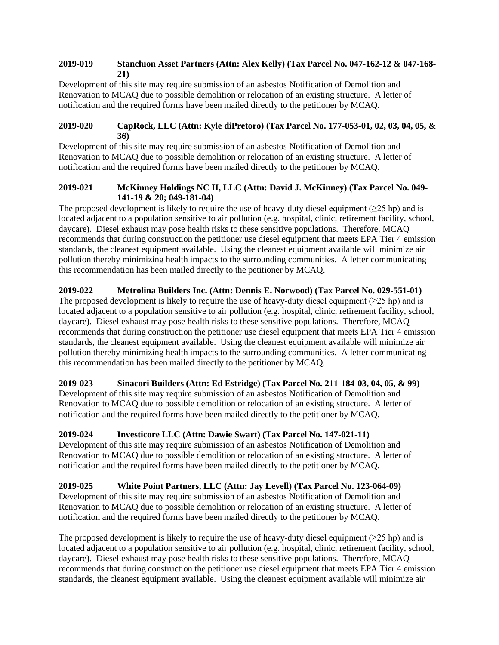#### **2019-019 Stanchion Asset Partners (Attn: Alex Kelly) (Tax Parcel No. 047-162-12 & 047-168- 21)**

Development of this site may require submission of an asbestos Notification of Demolition and Renovation to MCAQ due to possible demolition or relocation of an existing structure. A letter of notification and the required forms have been mailed directly to the petitioner by MCAQ.

#### **2019-020 CapRock, LLC (Attn: Kyle diPretoro) (Tax Parcel No. 177-053-01, 02, 03, 04, 05, & 36)**

Development of this site may require submission of an asbestos Notification of Demolition and Renovation to MCAQ due to possible demolition or relocation of an existing structure. A letter of notification and the required forms have been mailed directly to the petitioner by MCAQ.

#### **2019-021 McKinney Holdings NC II, LLC (Attn: David J. McKinney) (Tax Parcel No. 049- 141-19 & 20; 049-181-04)**

The proposed development is likely to require the use of heavy-duty diesel equipment ( $\geq$ 25 hp) and is located adjacent to a population sensitive to air pollution (e.g. hospital, clinic, retirement facility, school, daycare). Diesel exhaust may pose health risks to these sensitive populations. Therefore, MCAQ recommends that during construction the petitioner use diesel equipment that meets EPA Tier 4 emission standards, the cleanest equipment available. Using the cleanest equipment available will minimize air pollution thereby minimizing health impacts to the surrounding communities. A letter communicating this recommendation has been mailed directly to the petitioner by MCAQ.

### **2019-022 Metrolina Builders Inc. (Attn: Dennis E. Norwood) (Tax Parcel No. 029-551-01)**

The proposed development is likely to require the use of heavy-duty diesel equipment ( $\geq 25$  hp) and is located adjacent to a population sensitive to air pollution (e.g. hospital, clinic, retirement facility, school, daycare). Diesel exhaust may pose health risks to these sensitive populations. Therefore, MCAQ recommends that during construction the petitioner use diesel equipment that meets EPA Tier 4 emission standards, the cleanest equipment available. Using the cleanest equipment available will minimize air pollution thereby minimizing health impacts to the surrounding communities. A letter communicating this recommendation has been mailed directly to the petitioner by MCAQ.

#### **2019-023 Sinacori Builders (Attn: Ed Estridge) (Tax Parcel No. 211-184-03, 04, 05, & 99)** Development of this site may require submission of an asbestos Notification of Demolition and Renovation to MCAQ due to possible demolition or relocation of an existing structure. A letter of notification and the required forms have been mailed directly to the petitioner by MCAQ.

# **2019-024 Investicore LLC (Attn: Dawie Swart) (Tax Parcel No. 147-021-11)**

Development of this site may require submission of an asbestos Notification of Demolition and Renovation to MCAQ due to possible demolition or relocation of an existing structure. A letter of notification and the required forms have been mailed directly to the petitioner by MCAQ.

# **2019-025 White Point Partners, LLC (Attn: Jay Levell) (Tax Parcel No. 123-064-09)**

Development of this site may require submission of an asbestos Notification of Demolition and Renovation to MCAQ due to possible demolition or relocation of an existing structure. A letter of notification and the required forms have been mailed directly to the petitioner by MCAQ.

The proposed development is likely to require the use of heavy-duty diesel equipment ( $\geq 25$  hp) and is located adjacent to a population sensitive to air pollution (e.g. hospital, clinic, retirement facility, school, daycare). Diesel exhaust may pose health risks to these sensitive populations. Therefore, MCAQ recommends that during construction the petitioner use diesel equipment that meets EPA Tier 4 emission standards, the cleanest equipment available. Using the cleanest equipment available will minimize air